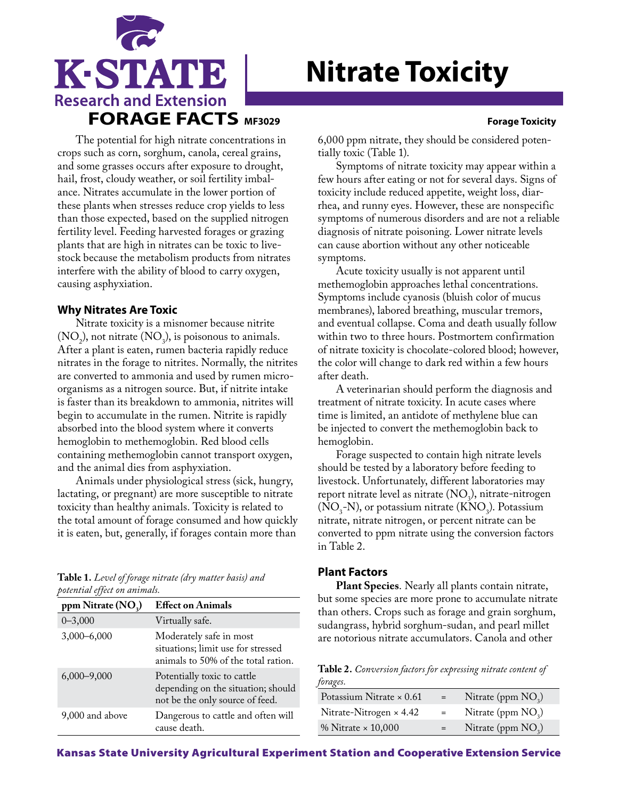

# **Nitrate Toxicity**

The potential for high nitrate concentrations in crops such as corn, sorghum, canola, cereal grains, and some grasses occurs after exposure to drought, hail, frost, cloudy weather, or soil fertility imbalance. Nitrates accumulate in the lower portion of these plants when stresses reduce crop yields to less than those expected, based on the supplied nitrogen fertility level. Feeding harvested forages or grazing plants that are high in nitrates can be toxic to livestock because the metabolism products from nitrates interfere with the ability of blood to carry oxygen, causing asphyxiation.

## **Why Nitrates Are Toxic**

Nitrate toxicity is a misnomer because nitrite  $(NO<sub>2</sub>)$ , not nitrate  $(NO<sub>3</sub>)$ , is poisonous to animals. After a plant is eaten, rumen bacteria rapidly reduce nitrates in the forage to nitrites. Normally, the nitrites are converted to ammonia and used by rumen microorganisms as a nitrogen source. But, if nitrite intake is faster than its breakdown to ammonia, nitrites will begin to accumulate in the rumen. Nitrite is rapidly absorbed into the blood system where it converts hemoglobin to methemoglobin. Red blood cells containing methemoglobin cannot transport oxygen, and the animal dies from asphyxiation.

Animals under physiological stress (sick, hungry, lactating, or pregnant) are more susceptible to nitrate toxicity than healthy animals. Toxicity is related to the total amount of forage consumed and how quickly it is eaten, but, generally, if forages contain more than

| Table 1. Level of forage nitrate (dry matter basis) and |  |
|---------------------------------------------------------|--|
| potential effect on animals.                            |  |

| ppm Nitrate (NO <sub>2</sub> ) | <b>Effect on Animals</b>                                                                             |
|--------------------------------|------------------------------------------------------------------------------------------------------|
| $0 - 3,000$                    | Virtually safe.                                                                                      |
| $3,000 - 6,000$                | Moderately safe in most<br>situations; limit use for stressed<br>animals to 50% of the total ration. |
| $6,000 - 9,000$                | Potentially toxic to cattle<br>depending on the situation; should<br>not be the only source of feed. |
| 9,000 and above                | Dangerous to cattle and often will<br>cause death.                                                   |

6,000 ppm nitrate, they should be considered potentially toxic (Table 1).

Symptoms of nitrate toxicity may appear within a few hours after eating or not for several days. Signs of toxicity include reduced appetite, weight loss, diarrhea, and runny eyes. However, these are nonspecific symptoms of numerous disorders and are not a reliable diagnosis of nitrate poisoning. Lower nitrate levels can cause abortion without any other noticeable symptoms.

Acute toxicity usually is not apparent until methemoglobin approaches lethal concentrations. Symptoms include cyanosis (bluish color of mucus membranes), labored breathing, muscular tremors, and eventual collapse. Coma and death usually follow within two to three hours. Postmortem confirmation of nitrate toxicity is chocolate-colored blood; however, the color will change to dark red within a few hours after death.

A veterinarian should perform the diagnosis and treatment of nitrate toxicity. In acute cases where time is limited, an antidote of methylene blue can be injected to convert the methemoglobin back to hemoglobin.

Forage suspected to contain high nitrate levels should be tested by a laboratory before feeding to livestock. Unfortunately, different laboratories may report nitrate level as nitrate  $(NO<sub>3</sub>)$ , nitrate-nitrogen  $(NO<sub>3</sub>-N)$ , or potassium nitrate  $(KNO<sub>3</sub>)$ . Potassium nitrate, nitrate nitrogen, or percent nitrate can be converted to ppm nitrate using the conversion factors in Table 2.

# **Plant Factors**

**Plant Species**. Nearly all plants contain nitrate, but some species are more prone to accumulate nitrate than others. Crops such as forage and grain sorghum, sudangrass, hybrid sorghum-sudan, and pearl millet are notorious nitrate accumulators. Canola and other

**Table 2.** *Conversion factors for expressing nitrate content of forages.*

| Potassium Nitrate $\times$ 0.61 | $=$ | Nitrate (ppm $NO3$ ) |
|---------------------------------|-----|----------------------|
| Nitrate-Nitrogen $\times$ 4.42  | $=$ | Nitrate (ppm $NO3$ ) |
| % Nitrate $\times$ 10,000       | $=$ | Nitrate (ppm $NO3$ ) |

Kansas State University Agricultural Experiment Station and Cooperative Extension Service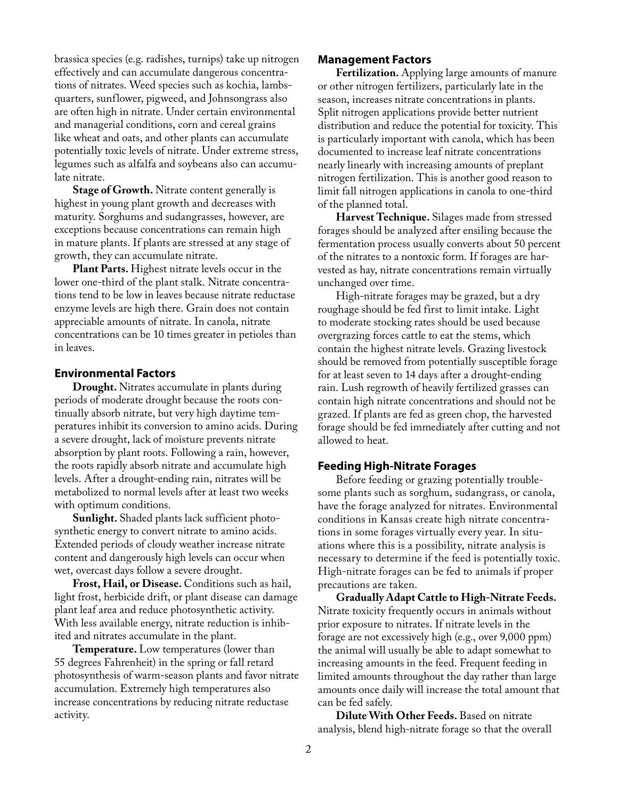brassica species (e.g. radishes, turnips) take up nitrogen effectively and can accumulate dangerous concentrations of nitrates. Weed species such as kochia, lambsquarters, sunflower, pigweed, and Johnsongrass also are often high in nitrate. Under certain environmental and managerial conditions, corn and cereal grains like wheat and oats, and other plants can accumulate potentially toxic levels of nitrate. Under extreme stress, legumes such as alfalfa and soybeans also can accumulate nitrate.

**Stage of Growth.** Nitrate content generally is highest in young plant growth and decreases with maturity. Sorghums and sudangrasses, however, are exceptions because concentrations can remain high in mature plants. If plants are stressed at any stage of growth, they can accumulate nitrate.

**Plant Parts.** Highest nitrate levels occur in the lower one-third of the plant stalk. Nitrate concentrations tend to be low in leaves because nitrate reductase enzyme levels are high there. Grain does not contain appreciable amounts of nitrate. In canola, nitrate concentrations can be 10 times greater in petioles than in leaves.

### **Environmental Factors**

**Drought.** Nitrates accumulate in plants during periods of moderate drought because the roots continually absorb nitrate, but very high daytime temperatures inhibit its conversion to amino acids. During a severe drought, lack of moisture prevents nitrate absorption by plant roots. Following a rain, however, the roots rapidly absorb nitrate and accumulate high levels. After a drought-ending rain, nitrates will be metabolized to normal levels after at least two weeks with optimum conditions.

**Sunlight.** Shaded plants lack sufficient photosynthetic energy to convert nitrate to amino acids. Extended periods of cloudy weather increase nitrate content and dangerously high levels can occur when wet, overcast days follow a severe drought.

**Frost, Hail, or Disease.** Conditions such as hail, light frost, herbicide drift, or plant disease can damage plant leaf area and reduce photosynthetic activity. With less available energy, nitrate reduction is inhibited and nitrates accumulate in the plant.

**Temperature.** Low temperatures (lower than 55 degrees Fahrenheit) in the spring or fall retard photosynthesis of warm-season plants and favor nitrate accumulation. Extremely high temperatures also increase concentrations by reducing nitrate reductase activity.

### **Management Factors**

**Fertilization.** Applying large amounts of manure or other nitrogen fertilizers, particularly late in the season, increases nitrate concentrations in plants. Split nitrogen applications provide better nutrient distribution and reduce the potential for toxicity. This is particularly important with canola, which has been documented to increase leaf nitrate concentrations nearly linearly with increasing amounts of preplant nitrogen fertilization. This is another good reason to limit fall nitrogen applications in canola to one-third of the planned total.

**Harvest Technique.** Silages made from stressed forages should be analyzed after ensiling because the fermentation process usually converts about 50 percent of the nitrates to a nontoxic form. If forages are harvested as hay, nitrate concentrations remain virtually unchanged over time.

High-nitrate forages may be grazed, but a dry roughage should be fed first to limit intake. Light to moderate stocking rates should be used because overgrazing forces cattle to eat the stems, which contain the highest nitrate levels. Grazing livestock should be removed from potentially susceptible forage for at least seven to 14 days after a drought-ending rain. Lush regrowth of heavily fertilized grasses can contain high nitrate concentrations and should not be grazed. If plants are fed as green chop, the harvested forage should be fed immediately after cutting and not allowed to heat.

#### **Feeding High-Nitrate Forages**

Before feeding or grazing potentially troublesome plants such as sorghum, sudangrass, or canola, have the forage analyzed for nitrates. Environmental conditions in Kansas create high nitrate concentrations in some forages virtually every year. In situations where this is a possibility, nitrate analysis is necessary to determine if the feed is potentially toxic. High-nitrate forages can be fed to animals if proper precautions are taken.

**Gradually Adapt Cattle to High-Nitrate Feeds.** Nitrate toxicity frequently occurs in animals without prior exposure to nitrates. If nitrate levels in the forage are not excessively high (e.g., over 9,000 ppm) the animal will usually be able to adapt somewhat to increasing amounts in the feed. Frequent feeding in limited amounts throughout the day rather than large amounts once daily will increase the total amount that can be fed safely.

**Dilute With Other Feeds.** Based on nitrate analysis, blend high-nitrate forage so that the overall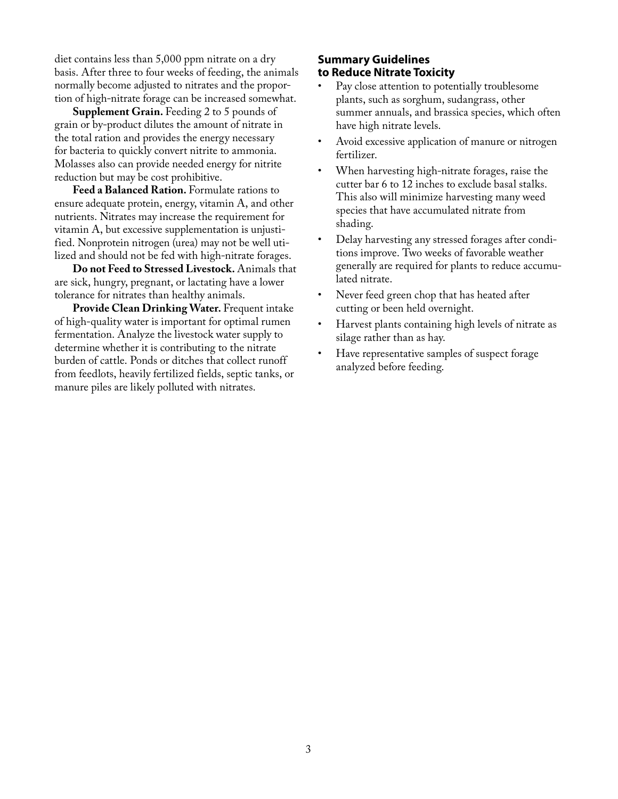diet contains less than 5,000 ppm nitrate on a dry basis. After three to four weeks of feeding, the animals normally become adjusted to nitrates and the proportion of high-nitrate forage can be increased somewhat.

**Supplement Grain.** Feeding 2 to 5 pounds of grain or by-product dilutes the amount of nitrate in the total ration and provides the energy necessary for bacteria to quickly convert nitrite to ammonia. Molasses also can provide needed energy for nitrite reduction but may be cost prohibitive.

**Feed a Balanced Ration.** Formulate rations to ensure adequate protein, energy, vitamin A, and other nutrients. Nitrates may increase the requirement for vitamin A, but excessive supplementation is unjustified. Nonprotein nitrogen (urea) may not be well utilized and should not be fed with high-nitrate forages.

**Do not Feed to Stressed Livestock.** Animals that are sick, hungry, pregnant, or lactating have a lower tolerance for nitrates than healthy animals.

**Provide Clean Drinking Water.** Frequent intake of high-quality water is important for optimal rumen fermentation. Analyze the livestock water supply to determine whether it is contributing to the nitrate burden of cattle. Ponds or ditches that collect runoff from feedlots, heavily fertilized fields, septic tanks, or manure piles are likely polluted with nitrates.

# **Summary Guidelines to Reduce Nitrate Toxicity**

- Pay close attention to potentially troublesome plants, such as sorghum, sudangrass, other summer annuals, and brassica species, which often have high nitrate levels.
- Avoid excessive application of manure or nitrogen fertilizer.
- When harvesting high-nitrate forages, raise the cutter bar 6 to 12 inches to exclude basal stalks. This also will minimize harvesting many weed species that have accumulated nitrate from shading.
- Delay harvesting any stressed forages after conditions improve. Two weeks of favorable weather generally are required for plants to reduce accumulated nitrate.
- Never feed green chop that has heated after cutting or been held overnight.
- Harvest plants containing high levels of nitrate as silage rather than as hay.
- Have representative samples of suspect forage analyzed before feeding.